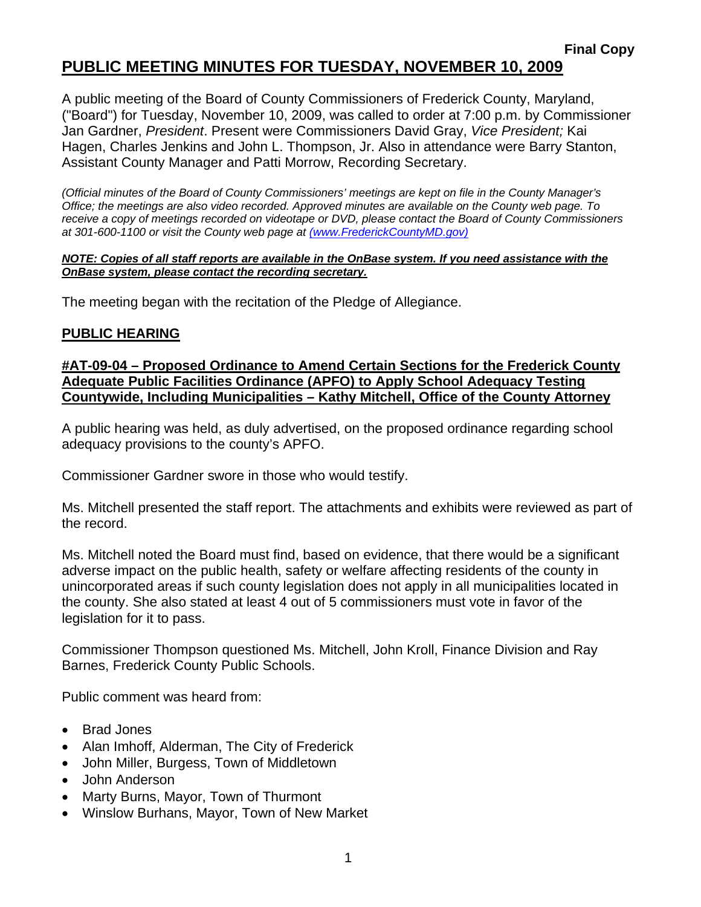# **PUBLIC MEETING MINUTES FOR TUESDAY, NOVEMBER 10, 2009**

A public meeting of the Board of County Commissioners of Frederick County, Maryland, ("Board") for Tuesday, November 10, 2009, was called to order at 7:00 p.m. by Commissioner Jan Gardner, *President*. Present were Commissioners David Gray, *Vice President;* Kai Hagen, Charles Jenkins and John L. Thompson, Jr. Also in attendance were Barry Stanton, Assistant County Manager and Patti Morrow, Recording Secretary.

*(Official minutes of the Board of County Commissioners' meetings are kept on file in the County Manager's Office; the meetings are also video recorded. Approved minutes are available on the County web page. To receive a copy of meetings recorded on videotape or DVD, please contact the Board of County Commissioners at 301-600-1100 or visit the County web page at (www.FrederickCountyMD.gov)*

#### *NOTE: Copies of all staff reports are available in the OnBase system. If you need assistance with the OnBase system, please contact the recording secretary.*

The meeting began with the recitation of the Pledge of Allegiance.

#### **PUBLIC HEARING**

**#AT-09-04 – Proposed Ordinance to Amend Certain Sections for the Frederick County Adequate Public Facilities Ordinance (APFO) to Apply School Adequacy Testing Countywide, Including Municipalities – Kathy Mitchell, Office of the County Attorney**

A public hearing was held, as duly advertised, on the proposed ordinance regarding school adequacy provisions to the county's APFO.

Commissioner Gardner swore in those who would testify.

Ms. Mitchell presented the staff report. The attachments and exhibits were reviewed as part of the record.

Ms. Mitchell noted the Board must find, based on evidence, that there would be a significant adverse impact on the public health, safety or welfare affecting residents of the county in unincorporated areas if such county legislation does not apply in all municipalities located in the county. She also stated at least 4 out of 5 commissioners must vote in favor of the legislation for it to pass.

Commissioner Thompson questioned Ms. Mitchell, John Kroll, Finance Division and Ray Barnes, Frederick County Public Schools.

Public comment was heard from:

- Brad Jones
- Alan Imhoff, Alderman, The City of Frederick
- John Miller, Burgess, Town of Middletown
- John Anderson
- Marty Burns, Mayor, Town of Thurmont
- Winslow Burhans, Mayor, Town of New Market